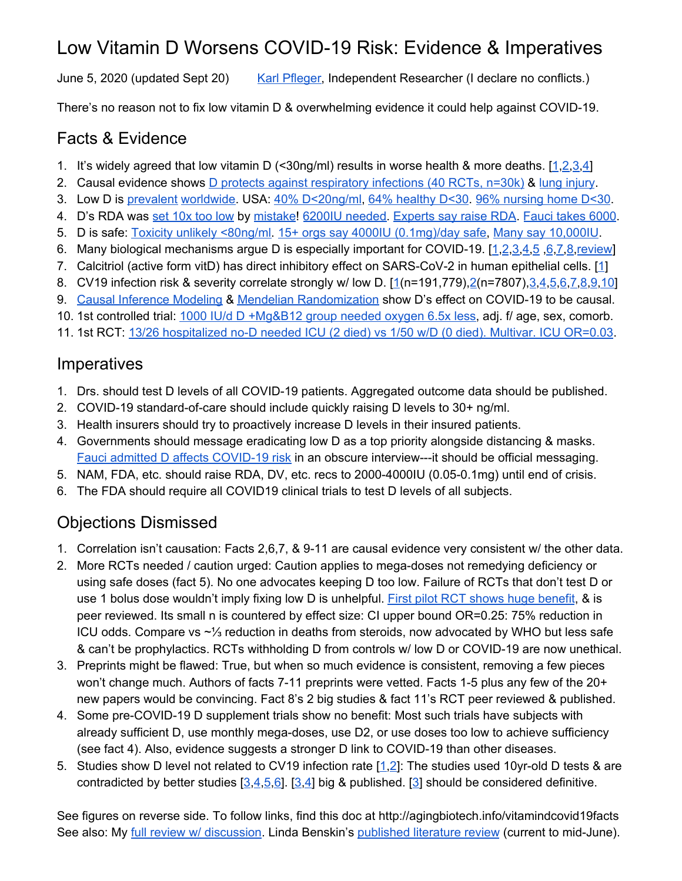## Low Vitamin D Worsens COVID-19 Risk: Evidence & Imperatives

June 5, 2020 (updated Sept 20) Karl [Pfleger,](https://www.linkedin.com/in/karl-pfleger-955085159/) Independent Researcher (I declare no conflicts.)

There's no reason not to fix low vitamin D & overwhelming evidence it could help against COVID-19.

## Facts & Evidence

- 1. It's widely agreed that low vitamin D (<30ng/ml) results in worse health & more deaths. [[1](https://journals.plos.org/plosone/article?id=10.1371/journal.pone.0170791)[,2,](https://www.bmj.com/content/348/bmj.g1903)[3](https://www.sciencedirect.com/science/article/abs/pii/S0960076017300316),[4\]](https://www.grassrootshealth.net/project/our-scientists/)
- 2. Causal evidence shows **D** protects against [respiratory](https://www.medrxiv.org/content/10.1101/2020.07.14.20152728v1) infections (40 RCTs, n=30k) & lung [injury](https://www.spandidos-publications.com/10.3892/mmr.2017.7546).
- 3. Low D is [prevalent](https://www.ncbi.nlm.nih.gov/books/NBK532266/) [worldwide.](https://www.ncbi.nlm.nih.gov/pmc/articles/PMC4018438/) USA: 40% [D<20ng/ml,](https://www.ncbi.nlm.nih.gov/pmc/articles/PMC6075634/) 64% [healthy](https://www.ncbi.nlm.nih.gov/pmc/articles/PMC3755751/) D<30. 96% [nursing](https://pubmed.ncbi.nlm.nih.gov/12820811/) home D<30.
- 4. D's RDA was set [10x](https://pubmed.ncbi.nlm.nih.gov/28768407/) too low by [mistake!](http://carolabinder.blogspot.com/2018/03/d-is-for-devastating-statistical-error.html) 6200IU [needed](https://www.ncbi.nlm.nih.gov/pmc/articles/PMC4377874/). [Experts](https://www.sciencedirect.com/science/article/pii/B9780128099650000598) say raise RDA. [Fauci](https://twitter.com/KarlPfleger/status/1307436747383431168) takes 6000.
- 5. D is safe: Toxicity unlikely [<80ng/ml.](https://www.ncbi.nlm.nih.gov/pmc/articles/PMC5045493/) 15+ orgs say 4000IU [\(0.1mg\)/day](https://vitamindwiki.com/4%2C000+IU+of+Vitamin+D+is+OK+-+19+organizations+agree+-+2018) safe, Many say [10,000IU.](https://www.sciencedirect.com/science/article/pii/B9780128099650000598)
- 6. Many biological mechanisms argue D is especially important for COVID-19. [[1,](https://www.mdpi.com/2072-6643/12/4/988/htm)[2](https://www.preprints.org/manuscript/202004.0355/v1)[,3](https://www.preprints.org/manuscript/202005.0265/v1),[4,](https://covid19-evidence.paho.org/handle/20.500.12663/1569)[5](https://pubmed.ncbi.nlm.nih.gov/32455629/) [,6](https://www.ncbi.nlm.nih.gov/pmc/articles/PMC7246956/),[7,](https://www.researchgate.net/profile/Suresh_Sharma42/publication/341752269_Vitamin_D_A_cheap_yet_effective_bullet_against_coronavirus_disease-19_-_Are_we_convinced_yet/links/5eda7b2692851c9c5e81e390/Vitamin-D-A-cheap-yet-effective-bullet-against-coronavirus-disease-19-Are-we-convinced-yet.pdf)[8](https://elifesciences.org/articles/59177)[,review\]](https://www.frontiersin.org/articles/10.3389/fpubh.2020.00513/full)
- 7. Calcitriol (active form vitD) has direct inhibitory effect on SARS-CoV-2 in human epithelial cells. [\[1](https://www.biorxiv.org/content/10.1101/2020.06.21.162396v1)]
- 8. CV19 infection risk & severity correlate strongly w/ low D. [\[1](https://journals.plos.org/plosone/article?id=10.1371/journal.pone.0239252)(n=191,779),[2](https://febs.onlinelibrary.wiley.com/doi/full/10.1111/febs.15495)(n=7807),[3](https://www.medrxiv.org/content/10.1101/2020.06.21.20136903v2)[,4](https://www.medrxiv.org/content/10.1101/2020.05.01.20079376v2),[5,](https://journals.plos.org/plosone/article?id=10.1371/journal.pone.0239799)[6](https://www.medrxiv.org/content/10.1101/2020.04.24.20075838v1)[,7](http://imj.ie/vitamin-d-deficiency-and-ards-after-sars-cov-2-infection/)[,8](https://europepmc.org/article/ppr/ppr166270)[,9](https://pubmed.ncbi.nlm.nih.gov/32772324/)[,10\]](https://www.mdpi.com/2072-6643/12/9/2757/htm)
- 9. Causal [Inference](https://www.medrxiv.org/content/10.1101/2020.05.01.20087965v2) Modeling & Mendelian [Randomization](https://nutrition.bmj.com/content/3/1/67) show D's effect on COVID-19 to be causal.
- 10. 1st controlled trial: 1000 IU/d D [+Mg&B12](https://www.medrxiv.org/content/10.1101/2020.06.01.20112334v1) group needed oxygen 6.5x less, adj. f/ age, sex, comorb.
- 11. 1st RCT: 13/26 [hospitalized](https://www.sciencedirect.com/science/article/pii/S0960076020302764) no-D needed ICU (2 died) vs 1/50 w/D (0 died). Multivar. ICU OR=0.03.

## Imperatives

- 1. Drs. should test D levels of all COVID-19 patients. Aggregated outcome data should be published.
- 2. COVID-19 standard-of-care should include quickly raising D levels to 30+ ng/ml.
- 3. Health insurers should try to proactively increase D levels in their insured patients.
- 4. Governments should message eradicating low D as a top priority alongside distancing & masks. Fauci admitted D affects [COVID-19](https://www.insider.com/fauci-takes-recommends-vitamin-d-and-c-supplements-immunity-boost-2020-9) risk in an obscure interview---it should be official messaging.
- 5. NAM, FDA, etc. should raise RDA, DV, etc. recs to 2000-4000IU (0.05-0.1mg) until end of crisis.
- 6. The FDA should require all COVID19 clinical trials to test D levels of all subjects.

## Objections Dismissed

- 1. Correlation isn't causation: Facts 2,6,7, & 9-11 are causal evidence very consistent w/ the other data.
- 2. More RCTs needed / caution urged: Caution applies to mega-doses not remedying deficiency or using safe doses (fact 5). No one advocates keeping D too low. Failure of RCTs that don't test D or use 1 bolus dose wouldn't imply fixing low D is unhelpful. First pilot RCT shows huge [benefit](https://www.sciencedirect.com/science/article/pii/S0960076020302764), & is peer reviewed. Its small n is countered by effect size: CI upper bound OR=0.25: 75% reduction in ICU odds. Compare vs ~⅓ reduction in deaths from steroids, now advocated by WHO but less safe & can't be prophylactics. RCTs withholding D from controls w/ low D or COVID-19 are now unethical.
- 3. Preprints might be flawed: True, but when so much evidence is consistent, removing a few pieces won't change much. Authors of facts 7-11 preprints were vetted. Facts 1-5 plus any few of the 20+ new papers would be convincing. Fact 8's 2 big studies & fact 11's RCT peer reviewed & published.
- 4. Some pre-COVID-19 D supplement trials show no benefit: Most such trials have subjects with already sufficient D, use monthly mega-doses, use D2, or use doses too low to achieve sufficiency (see fact 4). Also, evidence suggests a stronger D link to COVID-19 than other diseases.
- 5. Studies show D level not related to CV19 infection rate [\[1](https://pubmed.ncbi.nlm.nih.gov/32413819/)[,2](https://www.medrxiv.org/content/10.1101/2020.04.29.20084277v1)]: The studies used 10yr-old D tests & are contradicted by better studies  $[3,4,5,6]$  $[3,4,5,6]$  $[3,4,5,6]$  $[3,4,5,6]$  $[3,4,5,6]$ .  $[3,4]$  $[3,4]$  big & published. [\[3](https://journals.plos.org/plosone/article?id=10.1371/journal.pone.0239252)] should be considered definitive.

See figures on reverse side. To follow links, find this doc at http://agingbiotech.info/vitamindcovid19facts See also: My full review w/ [discussion](http://agingbiotech.info/vitamindcovid19/). Linda Benskin's [published](https://www.frontiersin.org/articles/10.3389/fpubh.2020.00513/full) literature review (current to mid-June).